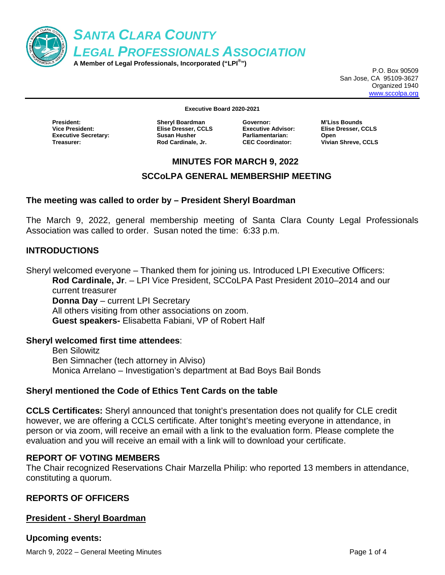

P.O. Box 90509 San Jose, CA 95109-3627 Organized 1940 www.sccolpa.org

**Executive Board 2020-2021** 

**President: Sheryl Boardman Executive Secretary:** Susan Husher **Treasurer: Rod Cardinale, Jr.** 

**Elise Dresser, CCLS** 

**Executive Advisor: Parliamentarian: Open** 

**Governor: M'Liss Bounds CEC Coordinator: Vivian Shreve, CCLS** 

### **MINUTES FOR MARCH 9, 2022**

## **SCCoLPA GENERAL MEMBERSHIP MEETING**

### **The meeting was called to order by – President Sheryl Boardman**

The March 9, 2022, general membership meeting of Santa Clara County Legal Professionals Association was called to order. Susan noted the time: 6:33 p.m.

### **INTRODUCTIONS**

Sheryl welcomed everyone – Thanked them for joining us. Introduced LPI Executive Officers: **Rod Cardinale, Jr**. – LPI Vice President, SCCoLPA Past President 2010–2014 and our current treasurer **Donna Day** – current LPI Secretary All others visiting from other associations on zoom.  **Guest speakers-** Elisabetta Fabiani, VP of Robert Half

#### **Sheryl welcomed first time attendees**:

Ben Silowitz Ben Simnacher (tech attorney in Alviso) Monica Arrelano – Investigation's department at Bad Boys Bail Bonds

## **Sheryl mentioned the Code of Ethics Tent Cards on the table**

**CCLS Certificates:** Sheryl announced that tonight's presentation does not qualify for CLE credit however, we are offering a CCLS certificate. After tonight's meeting everyone in attendance, in person or via zoom, will receive an email with a link to the evaluation form. Please complete the evaluation and you will receive an email with a link will to download your certificate.

#### **REPORT OF VOTING MEMBERS**

The Chair recognized Reservations Chair Marzella Philip: who reported 13 members in attendance, constituting a quorum.

## **REPORTS OF OFFICERS**

## **President - Sheryl Boardman**

**Upcoming events:** 

March 9, 2022 – General Meeting Minutes **Page 1 of 4** and 2011 the Page 1 of 4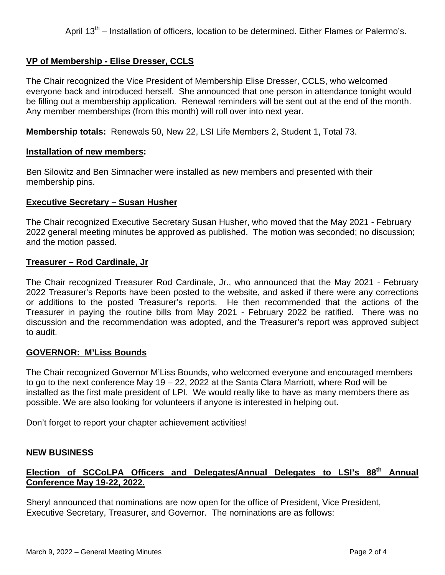# **VP of Membership - Elise Dresser, CCLS**

The Chair recognized the Vice President of Membership Elise Dresser, CCLS, who welcomed everyone back and introduced herself. She announced that one person in attendance tonight would be filling out a membership application. Renewal reminders will be sent out at the end of the month. Any member memberships (from this month) will roll over into next year.

**Membership totals:** Renewals 50, New 22, LSI Life Members 2, Student 1, Total 73.

#### **Installation of new members:**

Ben Silowitz and Ben Simnacher were installed as new members and presented with their membership pins.

### **Executive Secretary – Susan Husher**

The Chair recognized Executive Secretary Susan Husher, who moved that the May 2021 - February 2022 general meeting minutes be approved as published. The motion was seconded; no discussion; and the motion passed.

#### **Treasurer – Rod Cardinale, Jr**

The Chair recognized Treasurer Rod Cardinale, Jr., who announced that the May 2021 - February 2022 Treasurer's Reports have been posted to the website, and asked if there were any corrections or additions to the posted Treasurer's reports. He then recommended that the actions of the Treasurer in paying the routine bills from May 2021 - February 2022 be ratified. There was no discussion and the recommendation was adopted, and the Treasurer's report was approved subject to audit.

#### **GOVERNOR: M'Liss Bounds**

The Chair recognized Governor M'Liss Bounds, who welcomed everyone and encouraged members to go to the next conference May 19 – 22, 2022 at the Santa Clara Marriott, where Rod will be installed as the first male president of LPI. We would really like to have as many members there as possible. We are also looking for volunteers if anyone is interested in helping out.

Don't forget to report your chapter achievement activities!

## **NEW BUSINESS**

# Election of SCCoLPA Officers and Delegates/Annual Delegates to LSI's 88<sup>th</sup> Annual **Conference May 19-22, 2022.**

Sheryl announced that nominations are now open for the office of President, Vice President, Executive Secretary, Treasurer, and Governor. The nominations are as follows: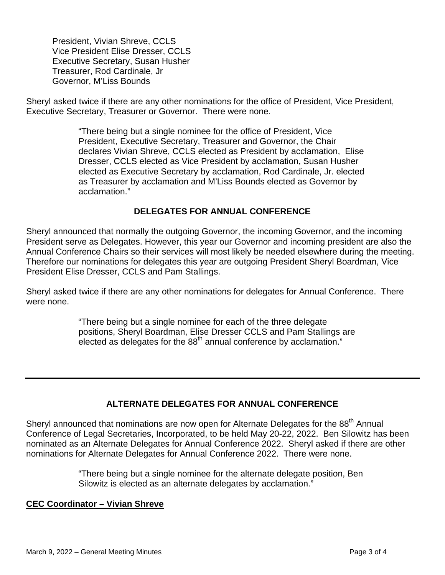President, Vivian Shreve, CCLS Vice President Elise Dresser, CCLS Executive Secretary, Susan Husher Treasurer, Rod Cardinale, Jr Governor, M'Liss Bounds

Sheryl asked twice if there are any other nominations for the office of President, Vice President, Executive Secretary, Treasurer or Governor. There were none.

> "There being but a single nominee for the office of President, Vice President, Executive Secretary, Treasurer and Governor, the Chair declares Vivian Shreve, CCLS elected as President by acclamation, Elise Dresser, CCLS elected as Vice President by acclamation, Susan Husher elected as Executive Secretary by acclamation, Rod Cardinale, Jr. elected as Treasurer by acclamation and M'Liss Bounds elected as Governor by acclamation."

## **DELEGATES FOR ANNUAL CONFERENCE**

Sheryl announced that normally the outgoing Governor, the incoming Governor, and the incoming President serve as Delegates. However, this year our Governor and incoming president are also the Annual Conference Chairs so their services will most likely be needed elsewhere during the meeting. Therefore our nominations for delegates this year are outgoing President Sheryl Boardman, Vice President Elise Dresser, CCLS and Pam Stallings.

Sheryl asked twice if there are any other nominations for delegates for Annual Conference. There were none.

> "There being but a single nominee for each of the three delegate positions, Sheryl Boardman, Elise Dresser CCLS and Pam Stallings are elected as delegates for the  $88<sup>th</sup>$  annual conference by acclamation."

# **ALTERNATE DELEGATES FOR ANNUAL CONFERENCE**

Sheryl announced that nominations are now open for Alternate Delegates for the 88<sup>th</sup> Annual Conference of Legal Secretaries, Incorporated, to be held May 20-22, 2022. Ben Silowitz has been nominated as an Alternate Delegates for Annual Conference 2022. Sheryl asked if there are other nominations for Alternate Delegates for Annual Conference 2022. There were none.

> "There being but a single nominee for the alternate delegate position, Ben Silowitz is elected as an alternate delegates by acclamation."

#### **CEC Coordinator – Vivian Shreve**